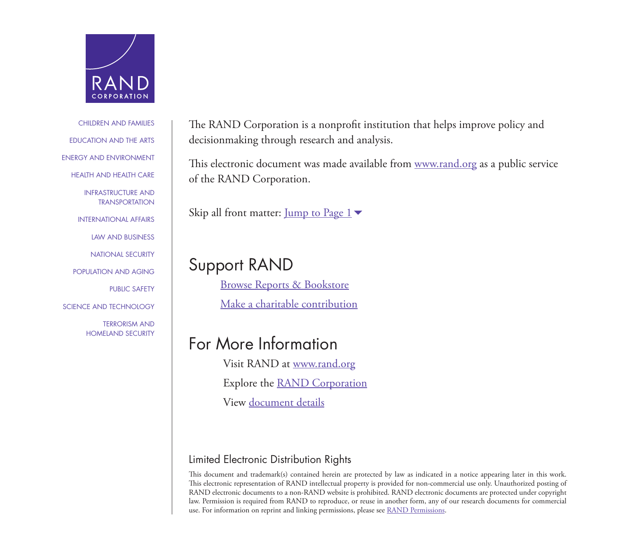

## [CHILDREN AND FAMILIES](http://www.rand.org/pdfrd/topics/children-and-families.html) [EDUCATION AND THE ARTS](http://www.rand.org/pdfrd/topics/education-and-the-arts.html) [ENERGY AND ENVIRONMENT](http://www.rand.org/pdfrd/topics/energy-and-environment.html) [HEALTH AND HEALTH CARE](http://www.rand.org/pdfrd/topics/health-and-health-care.html) [INFRASTRUCTURE AND](http://www.rand.org/pdfrd/topics/infrastructure-and-transportation.html)  **TRANSPORTATION** [INTERNATIONAL AFFAIRS](http://www.rand.org/pdfrd/topics/international-affairs.html) [LAW AND BUSINESS](http://www.rand.org/pdfrd/topics/law-and-business.html) [NATIONAL SECURITY](http://www.rand.org/pdfrd/topics/national-security.html) [POPULATION AND AGING](http://www.rand.org/pdfrd/topics/population-and-aging.html) [PUBLIC SAFETY](http://www.rand.org/pdfrd/topics/public-safety.html) [SCIENCE AND TECHNOLOGY](http://www.rand.org/pdfrd/topics/science-and-technology.html) TERRORISM AND [HOMELAND SECURITY](http://www.rand.org/topics/terrorism-and-homeland-security.html)

The RAND Corporation is a nonprofit institution that helps improve policy and decisionmaking through research and analysis.

This electronic document was made available from [www.rand.org](http://www.rand.org/pdfrd/) as a public service of the RAND Corporation.

Skip all front matter:  $\underline{\text{Jump to Page 1}}$ 

# Support RAND

[Browse Reports & Bookstore](http://www.rand.org/pdfrd/pubs/online.html) [Make a charitable contribution](http://www.rand.org/pdfrd/giving/contribute.html)

# For More Information

Visit RAND at [www.rand.org](http://www.rand.org/pdfrd/) Explore the [RAND Corporation](http://www.rand.org/pdfrd/about.html)

View [document details](http://www.rand.org/pdfrd/pubs/perspectives/PE123.html)

## Limited Electronic Distribution Rights

This document and trademark(s) contained herein are protected by law as indicated in a notice appearing later in this work. This electronic representation of RAND intellectual property is provided for non-commercial use only. Unauthorized posting of RAND electronic documents to a non-RAND website is prohibited. RAND electronic documents are protected under copyright law. Permission is required from RAND to reproduce, or reuse in another form, any of our research documents for commercial use. For information on reprint and linking permissions, please see [RAND Permissions](http://www.rand.org/pdfrd/publications/permissions.html).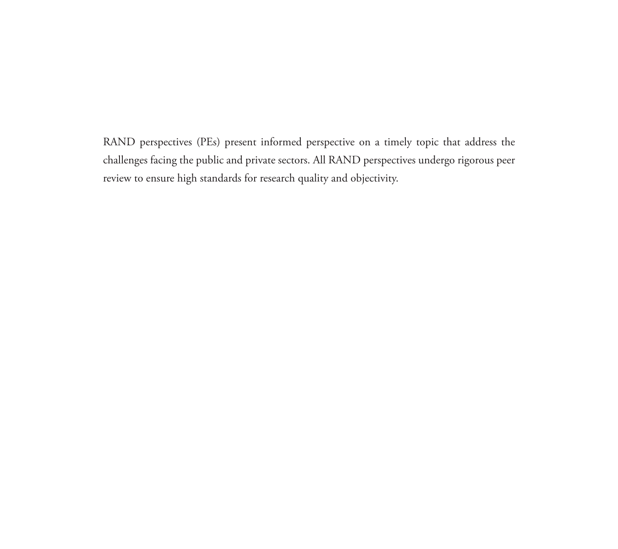RAND perspectives (PEs) present informed perspective on a timely topic that address the challenges facing the public and private sectors. All RAND perspectives undergo rigorous peer review to ensure high standards for research quality and objectivity.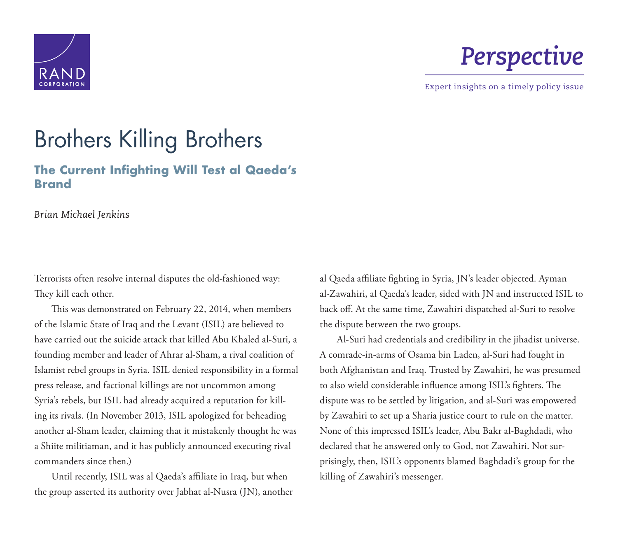<span id="page-2-0"></span>

# *Perspective*

Expert insights on a timely policy issue

# Brothers Killing Brothers

## **The Current Infighting Will Test al Qaeda's Brand**

*Brian Michael Jenkins*

Terrorists often resolve internal disputes the old-fashioned way: They kill each other.

This was demonstrated on February 22, 2014, when members of the Islamic State of Iraq and the Levant (ISIL) are believed to have carried out the suicide attack that killed Abu Khaled al-Suri, a founding member and leader of Ahrar al-Sham, a rival coalition of Islamist rebel groups in Syria. ISIL denied responsibility in a formal press release, and factional killings are not uncommon among Syria's rebels, but ISIL had already acquired a reputation for killing its rivals. (In November 2013, ISIL apologized for beheading another al-Sham leader, claiming that it mistakenly thought he was a Shiite militiaman, and it has publicly announced executing rival commanders since then.)

Until recently, ISIL was al Qaeda's affiliate in Iraq, but when the group asserted its authority over Jabhat al-Nusra (JN), another al Qaeda affiliate fighting in Syria, JN's leader objected. Ayman al-Zawahiri, al Qaeda's leader, sided with JN and instructed ISIL to back off. At the same time, Zawahiri dispatched al-Suri to resolve the dispute between the two groups.

Al-Suri had credentials and credibility in the jihadist universe. A comrade-in-arms of Osama bin Laden, al-Suri had fought in both Afghanistan and Iraq. Trusted by Zawahiri, he was presumed to also wield considerable influence among ISIL's fighters. The dispute was to be settled by litigation, and al-Suri was empowered by Zawahiri to set up a Sharia justice court to rule on the matter. None of this impressed ISIL's leader, Abu Bakr al-Baghdadi, who declared that he answered only to God, not Zawahiri. Not surprisingly, then, ISIL's opponents blamed Baghdadi's group for the killing of Zawahiri's messenger.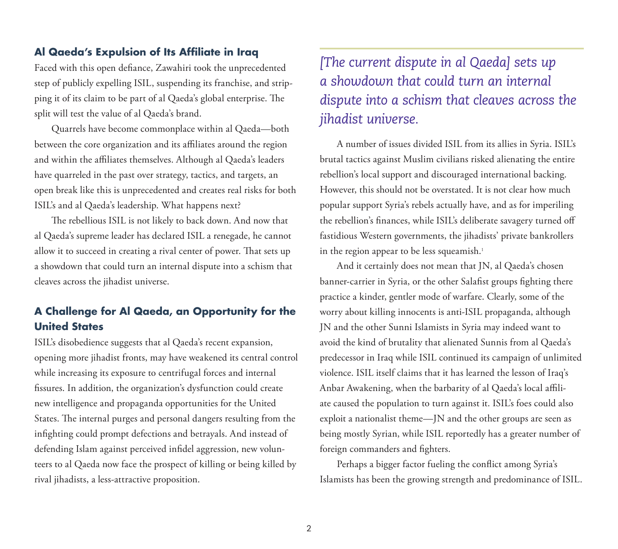## **Al Qaeda's Expulsion of Its Affiliate in Iraq**

Faced with this open defiance, Zawahiri took the unprecedented step of publicly expelling ISIL, suspending its franchise, and stripping it of its claim to be part of al Qaeda's global enterprise. The split will test the value of al Qaeda's brand.

Quarrels have become commonplace within al Qaeda—both between the core organization and its affiliates around the region and within the affiliates themselves. Although al Qaeda's leaders have quarreled in the past over strategy, tactics, and targets, an open break like this is unprecedented and creates real risks for both ISIL's and al Qaeda's leadership. What happens next?

The rebellious ISIL is not likely to back down. And now that al Qaeda's supreme leader has declared ISIL a renegade, he cannot allow it to succeed in creating a rival center of power. That sets up a showdown that could turn an internal dispute into a schism that cleaves across the jihadist universe.

## **A Challenge for Al Qaeda, an Opportunity for the United States**

ISIL's disobedience suggests that al Qaeda's recent expansion, opening more jihadist fronts, may have weakened its central control while increasing its exposure to centrifugal forces and internal fissures. In addition, the organization's dysfunction could create new intelligence and propaganda opportunities for the United States. The internal purges and personal dangers resulting from the infighting could prompt defections and betrayals. And instead of defending Islam against perceived infidel aggression, new volunteers to al Qaeda now face the prospect of killing or being killed by rival jihadists, a less-attractive proposition.

# *[The current dispute in al Qaeda] sets up a showdown that could turn an internal dispute into a schism that cleaves across the jihadist universe.*

A number of issues divided ISIL from its allies in Syria. ISIL's brutal tactics against Muslim civilians risked alienating the entire rebellion's local support and discouraged international backing. However, this should not be overstated. It is not clear how much popular support Syria's rebels actually have, and as for imperiling the rebellion's finances, while ISIL's deliberate savagery turned off fastidious Western governments, the jihadists' private bankrollers in the region appear to be less squeamish.<sup>1</sup>

And it certainly does not mean that JN, al Qaeda's chosen banner-carrier in Syria, or the other Salafist groups fighting there practice a kinder, gentler mode of warfare. Clearly, some of the worry about killing innocents is anti-ISIL propaganda, although JN and the other Sunni Islamists in Syria may indeed want to avoid the kind of brutality that alienated Sunnis from al Qaeda's predecessor in Iraq while ISIL continued its campaign of unlimited violence. ISIL itself claims that it has learned the lesson of Iraq's Anbar Awakening, when the barbarity of al Qaeda's local affiliate caused the population to turn against it. ISIL's foes could also exploit a nationalist theme—JN and the other groups are seen as being mostly Syrian, while ISIL reportedly has a greater number of foreign commanders and fighters.

Perhaps a bigger factor fueling the conflict among Syria's Islamists has been the growing strength and predominance of ISIL.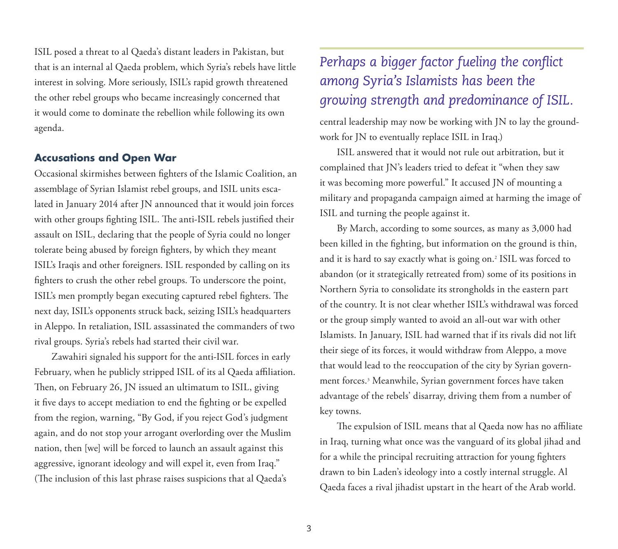ISIL posed a threat to al Qaeda's distant leaders in Pakistan, but that is an internal al Qaeda problem, which Syria's rebels have little interest in solving. More seriously, ISIL's rapid growth threatened the other rebel groups who became increasingly concerned that it would come to dominate the rebellion while following its own agenda.

#### **Accusations and Open War**

Occasional skirmishes between fighters of the Islamic Coalition, an assemblage of Syrian Islamist rebel groups, and ISIL units escalated in January 2014 after JN announced that it would join forces with other groups fighting ISIL. The anti-ISIL rebels justified their assault on ISIL, declaring that the people of Syria could no longer tolerate being abused by foreign fighters, by which they meant ISIL's Iraqis and other foreigners. ISIL responded by calling on its fighters to crush the other rebel groups. To underscore the point, ISIL's men promptly began executing captured rebel fighters. The next day, ISIL's opponents struck back, seizing ISIL's headquarters in Aleppo. In retaliation, ISIL assassinated the commanders of two rival groups. Syria's rebels had started their civil war.

Zawahiri signaled his support for the anti-ISIL forces in early February, when he publicly stripped ISIL of its al Qaeda affiliation. Then, on February 26, JN issued an ultimatum to ISIL, giving it five days to accept mediation to end the fighting or be expelled from the region, warning, "By God, if you reject God's judgment again, and do not stop your arrogant overlording over the Muslim nation, then [we] will be forced to launch an assault against this aggressive, ignorant ideology and will expel it, even from Iraq." (The inclusion of this last phrase raises suspicions that al Qaeda's

# *Perhaps a bigger factor fueling the conflict among Syria's Islamists has been the growing strength and predominance of ISIL.*

central leadership may now be working with JN to lay the groundwork for JN to eventually replace ISIL in Iraq.)

ISIL answered that it would not rule out arbitration, but it complained that JN's leaders tried to defeat it "when they saw it was becoming more powerful." It accused JN of mounting a military and propaganda campaign aimed at harming the image of ISIL and turning the people against it.

By March, according to some sources, as many as 3,000 had been killed in the fighting, but information on the ground is thin, and it is hard to say exactly what is going on.2 ISIL was forced to abandon (or it strategically retreated from) some of its positions in Northern Syria to consolidate its strongholds in the eastern part of the country. It is not clear whether ISIL's withdrawal was forced or the group simply wanted to avoid an all-out war with other Islamists. In January, ISIL had warned that if its rivals did not lift their siege of its forces, it would withdraw from Aleppo, a move that would lead to the reoccupation of the city by Syrian government forces.3 Meanwhile, Syrian government forces have taken advantage of the rebels' disarray, driving them from a number of key towns.

The expulsion of ISIL means that al Qaeda now has no affiliate in Iraq, turning what once was the vanguard of its global jihad and for a while the principal recruiting attraction for young fighters drawn to bin Laden's ideology into a costly internal struggle. Al Qaeda faces a rival jihadist upstart in the heart of the Arab world.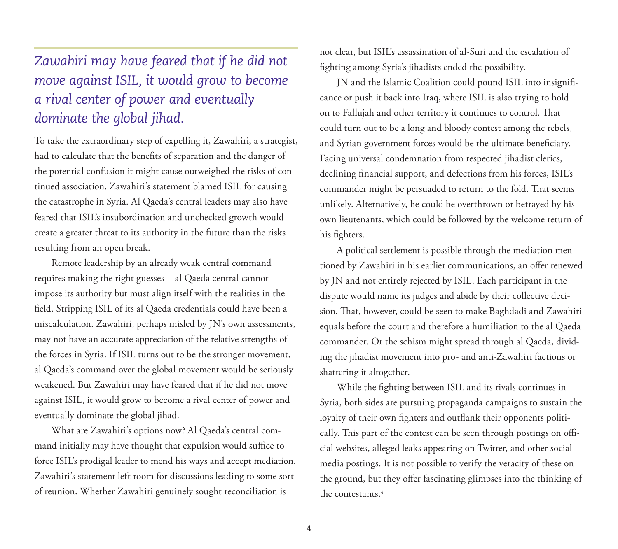# *Zawahiri may have feared that if he did not move against ISIL, it would grow to become a rival center of power and eventually dominate the global jihad.*

To take the extraordinary step of expelling it, Zawahiri, a strategist, had to calculate that the benefits of separation and the danger of the potential confusion it might cause outweighed the risks of continued association. Zawahiri's statement blamed ISIL for causing the catastrophe in Syria. Al Qaeda's central leaders may also have feared that ISIL's insubordination and unchecked growth would create a greater threat to its authority in the future than the risks resulting from an open break.

Remote leadership by an already weak central command requires making the right guesses—al Qaeda central cannot impose its authority but must align itself with the realities in the field. Stripping ISIL of its al Qaeda credentials could have been a miscalculation. Zawahiri, perhaps misled by JN's own assessments, may not have an accurate appreciation of the relative strengths of the forces in Syria. If ISIL turns out to be the stronger movement, al Qaeda's command over the global movement would be seriously weakened. But Zawahiri may have feared that if he did not move against ISIL, it would grow to become a rival center of power and eventually dominate the global jihad.

What are Zawahiri's options now? Al Qaeda's central command initially may have thought that expulsion would suffice to force ISIL's prodigal leader to mend his ways and accept mediation. Zawahiri's statement left room for discussions leading to some sort of reunion. Whether Zawahiri genuinely sought reconciliation is

not clear, but ISIL's assassination of al-Suri and the escalation of fighting among Syria's jihadists ended the possibility.

JN and the Islamic Coalition could pound ISIL into insignificance or push it back into Iraq, where ISIL is also trying to hold on to Fallujah and other territory it continues to control. That could turn out to be a long and bloody contest among the rebels, and Syrian government forces would be the ultimate beneficiary. Facing universal condemnation from respected jihadist clerics, declining financial support, and defections from his forces, ISIL's commander might be persuaded to return to the fold. That seems unlikely. Alternatively, he could be overthrown or betrayed by his own lieutenants, which could be followed by the welcome return of his fighters.

A political settlement is possible through the mediation mentioned by Zawahiri in his earlier communications, an offer renewed by JN and not entirely rejected by ISIL. Each participant in the dispute would name its judges and abide by their collective decision. That, however, could be seen to make Baghdadi and Zawahiri equals before the court and therefore a humiliation to the al Qaeda commander. Or the schism might spread through al Qaeda, dividing the jihadist movement into pro- and anti-Zawahiri factions or shattering it altogether.

While the fighting between ISIL and its rivals continues in Syria, both sides are pursuing propaganda campaigns to sustain the loyalty of their own fighters and outflank their opponents politically. This part of the contest can be seen through postings on official websites, alleged leaks appearing on Twitter, and other social media postings. It is not possible to verify the veracity of these on the ground, but they offer fascinating glimpses into the thinking of the contestants.4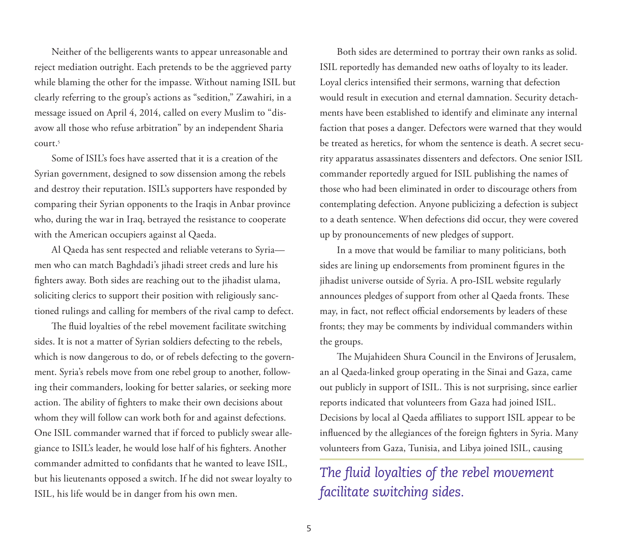Neither of the belligerents wants to appear unreasonable and reject mediation outright. Each pretends to be the aggrieved party while blaming the other for the impasse. Without naming ISIL but clearly referring to the group's actions as "sedition," Zawahiri, in a message issued on April 4, 2014, called on every Muslim to "disavow all those who refuse arbitration" by an independent Sharia court.5

Some of ISIL's foes have asserted that it is a creation of the Syrian government, designed to sow dissension among the rebels and destroy their reputation. ISIL's supporters have responded by comparing their Syrian opponents to the Iraqis in Anbar province who, during the war in Iraq, betrayed the resistance to cooperate with the American occupiers against al Qaeda.

Al Qaeda has sent respected and reliable veterans to Syria men who can match Baghdadi's jihadi street creds and lure his fighters away. Both sides are reaching out to the jihadist ulama, soliciting clerics to support their position with religiously sanctioned rulings and calling for members of the rival camp to defect.

The fluid loyalties of the rebel movement facilitate switching sides. It is not a matter of Syrian soldiers defecting to the rebels, which is now dangerous to do, or of rebels defecting to the government. Syria's rebels move from one rebel group to another, following their commanders, looking for better salaries, or seeking more action. The ability of fighters to make their own decisions about whom they will follow can work both for and against defections. One ISIL commander warned that if forced to publicly swear allegiance to ISIL's leader, he would lose half of his fighters. Another commander admitted to confidants that he wanted to leave ISIL, but his lieutenants opposed a switch. If he did not swear loyalty to ISIL, his life would be in danger from his own men.

Both sides are determined to portray their own ranks as solid. ISIL reportedly has demanded new oaths of loyalty to its leader. Loyal clerics intensified their sermons, warning that defection would result in execution and eternal damnation. Security detachments have been established to identify and eliminate any internal faction that poses a danger. Defectors were warned that they would be treated as heretics, for whom the sentence is death. A secret security apparatus assassinates dissenters and defectors. One senior ISIL commander reportedly argued for ISIL publishing the names of those who had been eliminated in order to discourage others from contemplating defection. Anyone publicizing a defection is subject to a death sentence. When defections did occur, they were covered up by pronouncements of new pledges of support.

In a move that would be familiar to many politicians, both sides are lining up endorsements from prominent figures in the jihadist universe outside of Syria. A pro-ISIL website regularly announces pledges of support from other al Qaeda fronts. These may, in fact, not reflect official endorsements by leaders of these fronts; they may be comments by individual commanders within the groups.

The Mujahideen Shura Council in the Environs of Jerusalem, an al Qaeda-linked group operating in the Sinai and Gaza, came out publicly in support of ISIL. This is not surprising, since earlier reports indicated that volunteers from Gaza had joined ISIL. Decisions by local al Qaeda affiliates to support ISIL appear to be influenced by the allegiances of the foreign fighters in Syria. Many volunteers from Gaza, Tunisia, and Libya joined ISIL, causing

*The fluid loyalties of the rebel movement facilitate switching sides.*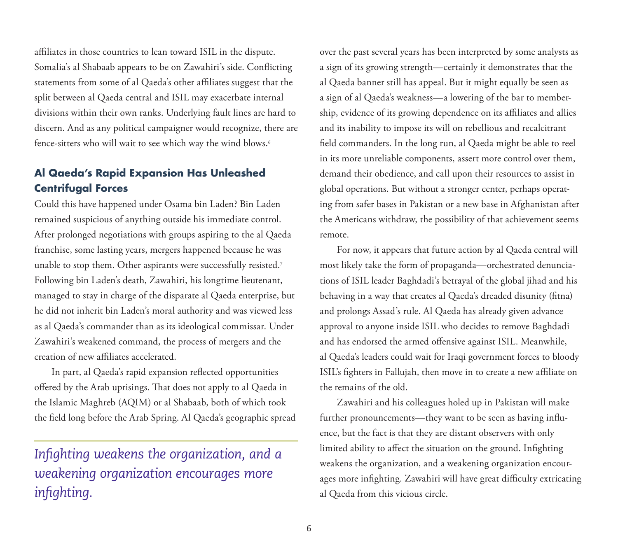affiliates in those countries to lean toward ISIL in the dispute. Somalia's al Shabaab appears to be on Zawahiri's side. Conflicting statements from some of al Qaeda's other affiliates suggest that the split between al Qaeda central and ISIL may exacerbate internal divisions within their own ranks. Underlying fault lines are hard to discern. And as any political campaigner would recognize, there are fence-sitters who will wait to see which way the wind blows.6

## **Al Qaeda's Rapid Expansion Has Unleashed Centrifugal Forces**

Could this have happened under Osama bin Laden? Bin Laden remained suspicious of anything outside his immediate control. After prolonged negotiations with groups aspiring to the al Qaeda franchise, some lasting years, mergers happened because he was unable to stop them. Other aspirants were successfully resisted.<sup>7</sup> Following bin Laden's death, Zawahiri, his longtime lieutenant, managed to stay in charge of the disparate al Qaeda enterprise, but he did not inherit bin Laden's moral authority and was viewed less as al Qaeda's commander than as its ideological commissar. Under Zawahiri's weakened command, the process of mergers and the creation of new affiliates accelerated.

In part, al Qaeda's rapid expansion reflected opportunities offered by the Arab uprisings. That does not apply to al Qaeda in the Islamic Maghreb (AQIM) or al Shabaab, both of which took the field long before the Arab Spring. Al Qaeda's geographic spread

# *Infighting weakens the organization, and a weakening organization encourages more infighting.*

over the past several years has been interpreted by some analysts as a sign of its growing strength—certainly it demonstrates that the al Qaeda banner still has appeal. But it might equally be seen as a sign of al Qaeda's weakness—a lowering of the bar to membership, evidence of its growing dependence on its affiliates and allies and its inability to impose its will on rebellious and recalcitrant field commanders. In the long run, al Qaeda might be able to reel in its more unreliable components, assert more control over them, demand their obedience, and call upon their resources to assist in global operations. But without a stronger center, perhaps operating from safer bases in Pakistan or a new base in Afghanistan after the Americans withdraw, the possibility of that achievement seems remote.

For now, it appears that future action by al Qaeda central will most likely take the form of propaganda—orchestrated denunciations of ISIL leader Baghdadi's betrayal of the global jihad and his behaving in a way that creates al Qaeda's dreaded disunity (fitna) and prolongs Assad's rule. Al Qaeda has already given advance approval to anyone inside ISIL who decides to remove Baghdadi and has endorsed the armed offensive against ISIL. Meanwhile, al Qaeda's leaders could wait for Iraqi government forces to bloody ISIL's fighters in Fallujah, then move in to create a new affiliate on the remains of the old.

Zawahiri and his colleagues holed up in Pakistan will make further pronouncements—they want to be seen as having influence, but the fact is that they are distant observers with only limited ability to affect the situation on the ground. Infighting weakens the organization, and a weakening organization encourages more infighting. Zawahiri will have great difficulty extricating al Qaeda from this vicious circle.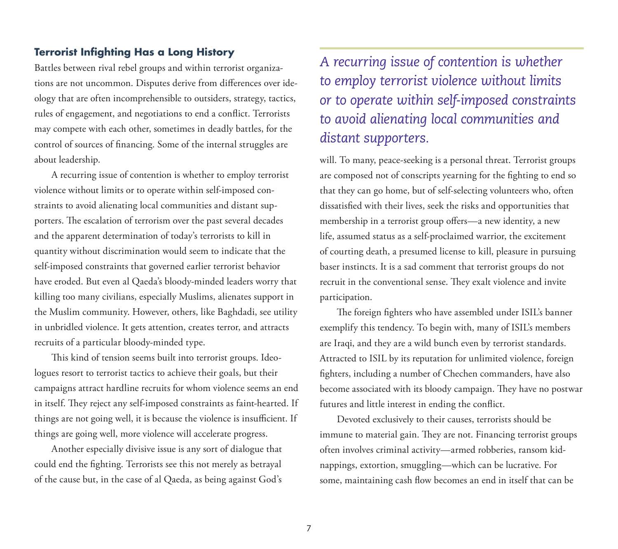## **Terrorist Infighting Has a Long History**

Battles between rival rebel groups and within terrorist organizations are not uncommon. Disputes derive from differences over ideology that are often incomprehensible to outsiders, strategy, tactics, rules of engagement, and negotiations to end a conflict. Terrorists may compete with each other, sometimes in deadly battles, for the control of sources of financing. Some of the internal struggles are about leadership.

A recurring issue of contention is whether to employ terrorist violence without limits or to operate within self-imposed constraints to avoid alienating local communities and distant supporters. The escalation of terrorism over the past several decades and the apparent determination of today's terrorists to kill in quantity without discrimination would seem to indicate that the self-imposed constraints that governed earlier terrorist behavior have eroded. But even al Qaeda's bloody-minded leaders worry that killing too many civilians, especially Muslims, alienates support in the Muslim community. However, others, like Baghdadi, see utility in unbridled violence. It gets attention, creates terror, and attracts recruits of a particular bloody-minded type.

This kind of tension seems built into terrorist groups. Ideologues resort to terrorist tactics to achieve their goals, but their campaigns attract hardline recruits for whom violence seems an end in itself. They reject any self-imposed constraints as faint-hearted. If things are not going well, it is because the violence is insufficient. If things are going well, more violence will accelerate progress.

Another especially divisive issue is any sort of dialogue that could end the fighting. Terrorists see this not merely as betrayal of the cause but, in the case of al Qaeda, as being against God's

# *A recurring issue of contention is whether to employ terrorist violence without limits or to operate within self-imposed constraints to avoid alienating local communities and distant supporters.*

will. To many, peace-seeking is a personal threat. Terrorist groups are composed not of conscripts yearning for the fighting to end so that they can go home, but of self-selecting volunteers who, often dissatisfied with their lives, seek the risks and opportunities that membership in a terrorist group offers—a new identity, a new life, assumed status as a self-proclaimed warrior, the excitement of courting death, a presumed license to kill, pleasure in pursuing baser instincts. It is a sad comment that terrorist groups do not recruit in the conventional sense. They exalt violence and invite participation.

The foreign fighters who have assembled under ISIL's banner exemplify this tendency. To begin with, many of ISIL's members are Iraqi, and they are a wild bunch even by terrorist standards. Attracted to ISIL by its reputation for unlimited violence, foreign fighters, including a number of Chechen commanders, have also become associated with its bloody campaign. They have no postwar futures and little interest in ending the conflict.

Devoted exclusively to their causes, terrorists should be immune to material gain. They are not. Financing terrorist groups often involves criminal activity—armed robberies, ransom kidnappings, extortion, smuggling—which can be lucrative. For some, maintaining cash flow becomes an end in itself that can be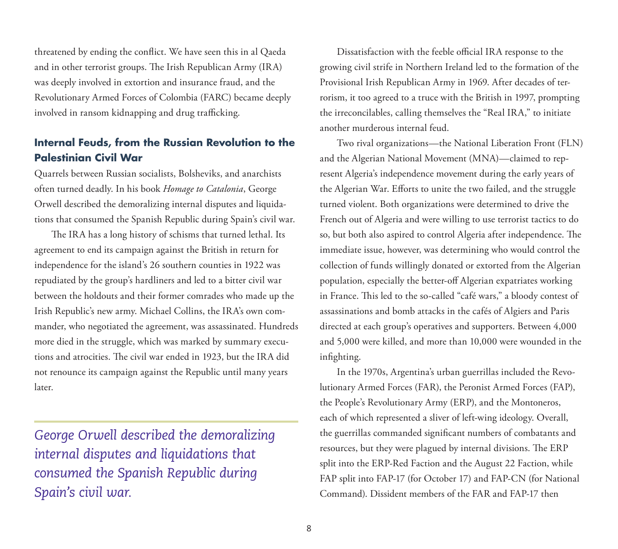threatened by ending the conflict. We have seen this in al Qaeda and in other terrorist groups. The Irish Republican Army (IRA) was deeply involved in extortion and insurance fraud, and the Revolutionary Armed Forces of Colombia (FARC) became deeply involved in ransom kidnapping and drug trafficking.

## **Internal Feuds, from the Russian Revolution to the Palestinian Civil War**

Quarrels between Russian socialists, Bolsheviks, and anarchists often turned deadly. In his book *Homage to Catalonia*, George Orwell described the demoralizing internal disputes and liquidations that consumed the Spanish Republic during Spain's civil war.

The IRA has a long history of schisms that turned lethal. Its agreement to end its campaign against the British in return for independence for the island's 26 southern counties in 1922 was repudiated by the group's hardliners and led to a bitter civil war between the holdouts and their former comrades who made up the Irish Republic's new army. Michael Collins, the IRA's own commander, who negotiated the agreement, was assassinated. Hundreds more died in the struggle, which was marked by summary executions and atrocities. The civil war ended in 1923, but the IRA did not renounce its campaign against the Republic until many years later.

*George Orwell described the demoralizing internal disputes and liquidations that consumed the Spanish Republic during Spain's civil war.* 

Dissatisfaction with the feeble official IRA response to the growing civil strife in Northern Ireland led to the formation of the Provisional Irish Republican Army in 1969. After decades of terrorism, it too agreed to a truce with the British in 1997, prompting the irreconcilables, calling themselves the "Real IRA," to initiate another murderous internal feud.

Two rival organizations—the National Liberation Front (FLN) and the Algerian National Movement (MNA)—claimed to represent Algeria's independence movement during the early years of the Algerian War. Efforts to unite the two failed, and the struggle turned violent. Both organizations were determined to drive the French out of Algeria and were willing to use terrorist tactics to do so, but both also aspired to control Algeria after independence. The immediate issue, however, was determining who would control the collection of funds willingly donated or extorted from the Algerian population, especially the better-off Algerian expatriates working in France. This led to the so-called "café wars," a bloody contest of assassinations and bomb attacks in the cafés of Algiers and Paris directed at each group's operatives and supporters. Between 4,000 and 5,000 were killed, and more than 10,000 were wounded in the infighting.

In the 1970s, Argentina's urban guerrillas included the Revolutionary Armed Forces (FAR), the Peronist Armed Forces (FAP), the People's Revolutionary Army (ERP), and the Montoneros, each of which represented a sliver of left-wing ideology. Overall, the guerrillas commanded significant numbers of combatants and resources, but they were plagued by internal divisions. The ERP split into the ERP-Red Faction and the August 22 Faction, while FAP split into FAP-17 (for October 17) and FAP-CN (for National Command). Dissident members of the FAR and FAP-17 then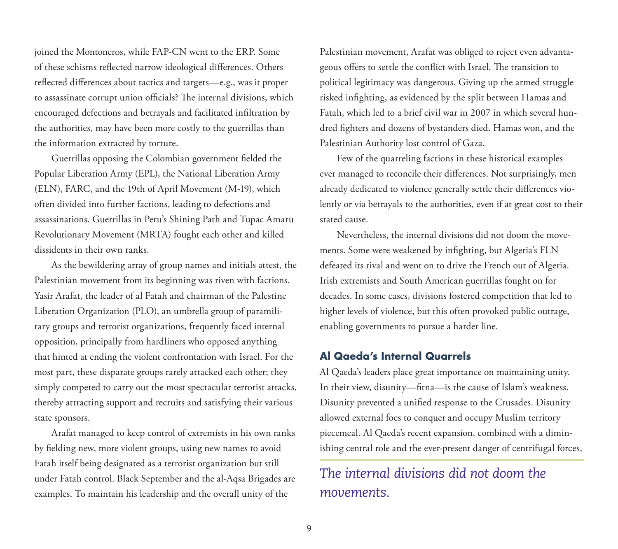joined the Montoneros, while FAP-CN went to the ERP. Some of these schisms reflected narrow ideological differences. Others reflected differences about tactics and targets—e.g., was it proper to assassinate corrupt union officials? The internal divisions, which encouraged defections and betrayals and facilitated infiltration by the authorities, may have been more costly to the guerrillas than the information extracted by torture.

Guerrillas opposing the Colombian government fielded the Popular Liberation Army (EPL), the National Liberation Army (ELN), FARC, and the 19th of April Movement (M-19), which often divided into further factions, leading to defections and assassinations. Guerrillas in Peru's Shining Path and Tupac Amaru Revolutionary Movement (MRTA) fought each other and killed dissidents in their own ranks.

As the bewildering array of group names and initials attest, the Palestinian movement from its beginning was riven with factions. Yasir Arafat, the leader of al Fatah and chairman of the Palestine Liberation Organization (PLO), an umbrella group of paramilitary groups and terrorist organizations, frequently faced internal opposition, principally from hardliners who opposed anything that hinted at ending the violent confrontation with Israel. For the most part, these disparate groups rarely attacked each other; they simply competed to carry out the most spectacular terrorist attacks, thereby attracting support and recruits and satisfying their various state sponsors.

Arafat managed to keep control of extremists in his own ranks by fielding new, more violent groups, using new names to avoid Fatah itself being designated as a terrorist organization but still under Fatah control. Black September and the al-Aqsa Brigades are examples. To maintain his leadership and the overall unity of the

Palestinian movement, Arafat was obliged to reject even advantageous offers to settle the conflict with Israel. The transition to political legitimacy was dangerous. Giving up the armed struggle risked infighting, as evidenced by the split between Hamas and Fatah, which led to a brief civil war in 2007 in which several hundred fighters and dozens of bystanders died. Hamas won, and the Palestinian Authority lost control of Gaza.

Few of the quarreling factions in these historical examples ever managed to reconcile their differences. Not surprisingly, men already dedicated to violence generally settle their differences violently or via betrayals to the authorities, even if at great cost to their stated cause.

Nevertheless, the internal divisions did not doom the movements. Some were weakened by infighting, but Algeria's FLN defeated its rival and went on to drive the French out of Algeria. Irish extremists and South American guerrillas fought on for decades. In some cases, divisions fostered competition that led to higher levels of violence, but this often provoked public outrage, enabling governments to pursue a harder line.

#### **Al Qaeda's Internal Quarrels**

Al Qaeda's leaders place great importance on maintaining unity. In their view, disunity—fitna—is the cause of Islam's weakness. Disunity prevented a unified response to the Crusades. Disunity allowed external foes to conquer and occupy Muslim territory piecemeal. Al Qaeda's recent expansion, combined with a diminishing central role and the ever-present danger of centrifugal forces,

*The internal divisions did not doom the movements.*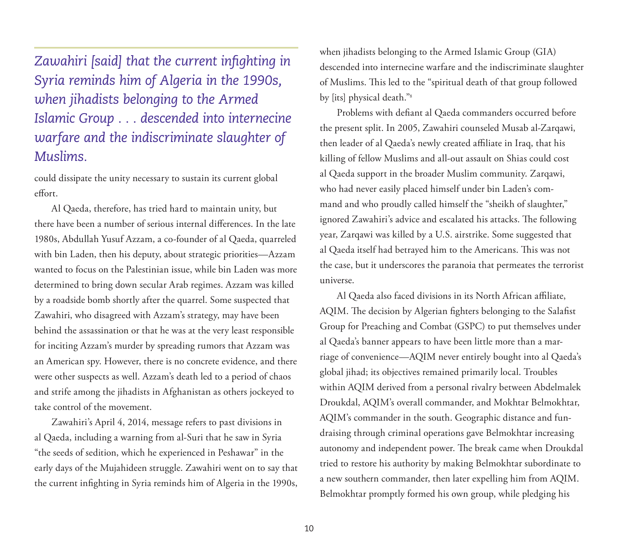*Zawahiri [said] that the current infighting in Syria reminds him of Algeria in the 1990s, when jihadists belonging to the Armed Islamic Group . . . descended into internecine warfare and the indiscriminate slaughter of Muslims.*

could dissipate the unity necessary to sustain its current global effort.

Al Qaeda, therefore, has tried hard to maintain unity, but there have been a number of serious internal differences. In the late 1980s, Abdullah Yusuf Azzam, a co-founder of al Qaeda, quarreled with bin Laden, then his deputy, about strategic priorities—Azzam wanted to focus on the Palestinian issue, while bin Laden was more determined to bring down secular Arab regimes. Azzam was killed by a roadside bomb shortly after the quarrel. Some suspected that Zawahiri, who disagreed with Azzam's strategy, may have been behind the assassination or that he was at the very least responsible for inciting Azzam's murder by spreading rumors that Azzam was an American spy. However, there is no concrete evidence, and there were other suspects as well. Azzam's death led to a period of chaos and strife among the jihadists in Afghanistan as others jockeyed to take control of the movement.

Zawahiri's April 4, 2014, message refers to past divisions in al Qaeda, including a warning from al-Suri that he saw in Syria "the seeds of sedition, which he experienced in Peshawar" in the early days of the Mujahideen struggle. Zawahiri went on to say that the current infighting in Syria reminds him of Algeria in the 1990s,

when jihadists belonging to the Armed Islamic Group (GIA) descended into internecine warfare and the indiscriminate slaughter of Muslims. This led to the "spiritual death of that group followed by [its] physical death."8

Problems with defiant al Qaeda commanders occurred before the present split. In 2005, Zawahiri counseled Musab al-Zarqawi, then leader of al Qaeda's newly created affiliate in Iraq, that his killing of fellow Muslims and all-out assault on Shias could cost al Qaeda support in the broader Muslim community. Zarqawi, who had never easily placed himself under bin Laden's command and who proudly called himself the "sheikh of slaughter," ignored Zawahiri's advice and escalated his attacks. The following year, Zarqawi was killed by a U.S. airstrike. Some suggested that al Qaeda itself had betrayed him to the Americans. This was not the case, but it underscores the paranoia that permeates the terrorist universe.

Al Qaeda also faced divisions in its North African affiliate, AQIM. The decision by Algerian fighters belonging to the Salafist Group for Preaching and Combat (GSPC) to put themselves under al Qaeda's banner appears to have been little more than a marriage of convenience—AQIM never entirely bought into al Qaeda's global jihad; its objectives remained primarily local. Troubles within AQIM derived from a personal rivalry between Abdelmalek Droukdal, AQIM's overall commander, and Mokhtar Belmokhtar, AQIM's commander in the south. Geographic distance and fundraising through criminal operations gave Belmokhtar increasing autonomy and independent power. The break came when Droukdal tried to restore his authority by making Belmokhtar subordinate to a new southern commander, then later expelling him from AQIM. Belmokhtar promptly formed his own group, while pledging his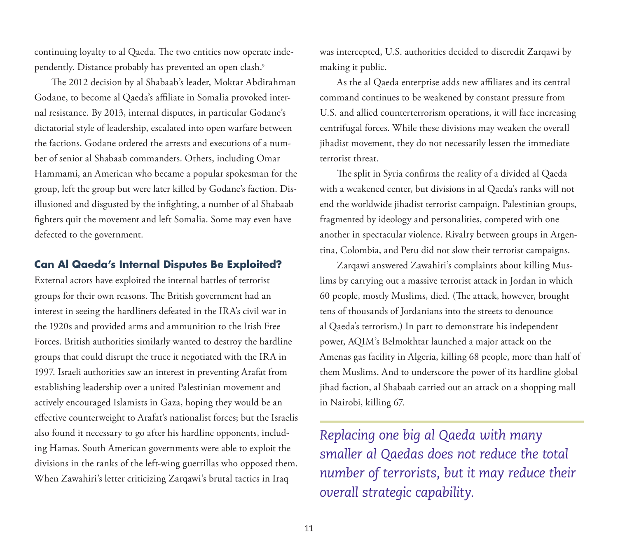continuing loyalty to al Qaeda. The two entities now operate independently. Distance probably has prevented an open clash.<sup>9</sup>

The 2012 decision by al Shabaab's leader, Moktar Abdirahman Godane, to become al Qaeda's affiliate in Somalia provoked internal resistance. By 2013, internal disputes, in particular Godane's dictatorial style of leadership, escalated into open warfare between the factions. Godane ordered the arrests and executions of a number of senior al Shabaab commanders. Others, including Omar Hammami, an American who became a popular spokesman for the group, left the group but were later killed by Godane's faction. Disillusioned and disgusted by the infighting, a number of al Shabaab fighters quit the movement and left Somalia. Some may even have defected to the government.

### **Can Al Qaeda's Internal Disputes Be Exploited?**

External actors have exploited the internal battles of terrorist groups for their own reasons. The British government had an interest in seeing the hardliners defeated in the IRA's civil war in the 1920s and provided arms and ammunition to the Irish Free Forces. British authorities similarly wanted to destroy the hardline groups that could disrupt the truce it negotiated with the IRA in 1997. Israeli authorities saw an interest in preventing Arafat from establishing leadership over a united Palestinian movement and actively encouraged Islamists in Gaza, hoping they would be an effective counterweight to Arafat's nationalist forces; but the Israelis also found it necessary to go after his hardline opponents, including Hamas. South American governments were able to exploit the divisions in the ranks of the left-wing guerrillas who opposed them. When Zawahiri's letter criticizing Zarqawi's brutal tactics in Iraq

was intercepted, U.S. authorities decided to discredit Zarqawi by making it public.

As the al Qaeda enterprise adds new affiliates and its central command continues to be weakened by constant pressure from U.S. and allied counterterrorism operations, it will face increasing centrifugal forces. While these divisions may weaken the overall jihadist movement, they do not necessarily lessen the immediate terrorist threat.

The split in Syria confirms the reality of a divided al Qaeda with a weakened center, but divisions in al Qaeda's ranks will not end the worldwide jihadist terrorist campaign. Palestinian groups, fragmented by ideology and personalities, competed with one another in spectacular violence. Rivalry between groups in Argentina, Colombia, and Peru did not slow their terrorist campaigns.

Zarqawi answered Zawahiri's complaints about killing Muslims by carrying out a massive terrorist attack in Jordan in which 60 people, mostly Muslims, died. (The attack, however, brought tens of thousands of Jordanians into the streets to denounce al Qaeda's terrorism.) In part to demonstrate his independent power, AQIM's Belmokhtar launched a major attack on the Amenas gas facility in Algeria, killing 68 people, more than half of them Muslims. And to underscore the power of its hardline global jihad faction, al Shabaab carried out an attack on a shopping mall in Nairobi, killing 67.

*Replacing one big al Qaeda with many smaller al Qaedas does not reduce the total number of terrorists, but it may reduce their overall strategic capability.*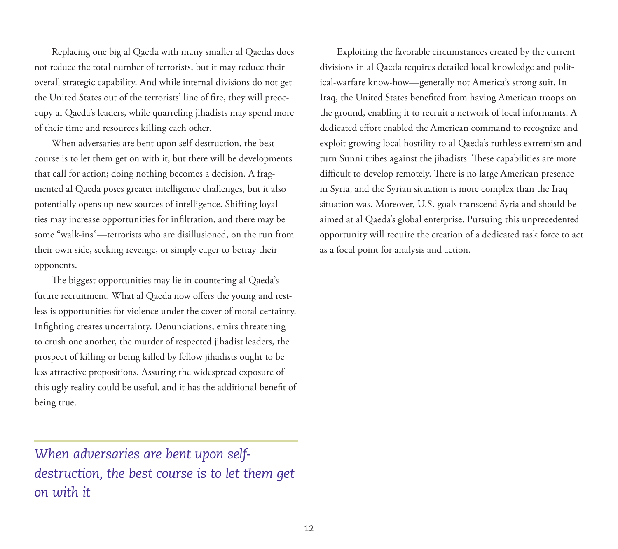Replacing one big al Qaeda with many smaller al Qaedas does not reduce the total number of terrorists, but it may reduce their overall strategic capability. And while internal divisions do not get the United States out of the terrorists' line of fire, they will preoccupy al Qaeda's leaders, while quarreling jihadists may spend more of their time and resources killing each other.

When adversaries are bent upon self-destruction, the best course is to let them get on with it, but there will be developments that call for action; doing nothing becomes a decision. A fragmented al Qaeda poses greater intelligence challenges, but it also potentially opens up new sources of intelligence. Shifting loyalties may increase opportunities for infiltration, and there may be some "walk-ins"—terrorists who are disillusioned, on the run from their own side, seeking revenge, or simply eager to betray their opponents.

The biggest opportunities may lie in countering al Qaeda's future recruitment. What al Qaeda now offers the young and restless is opportunities for violence under the cover of moral certainty. Infighting creates uncertainty. Denunciations, emirs threatening to crush one another, the murder of respected jihadist leaders, the prospect of killing or being killed by fellow jihadists ought to be less attractive propositions. Assuring the widespread exposure of this ugly reality could be useful, and it has the additional benefit of being true.

*When adversaries are bent upon selfdestruction, the best course is to let them get on with it*

Exploiting the favorable circumstances created by the current divisions in al Qaeda requires detailed local knowledge and political-warfare know-how—generally not America's strong suit. In Iraq, the United States benefited from having American troops on the ground, enabling it to recruit a network of local informants. A dedicated effort enabled the American command to recognize and exploit growing local hostility to al Qaeda's ruthless extremism and turn Sunni tribes against the jihadists. These capabilities are more difficult to develop remotely. There is no large American presence in Syria, and the Syrian situation is more complex than the Iraq situation was. Moreover, U.S. goals transcend Syria and should be aimed at al Qaeda's global enterprise. Pursuing this unprecedented opportunity will require the creation of a dedicated task force to act as a focal point for analysis and action.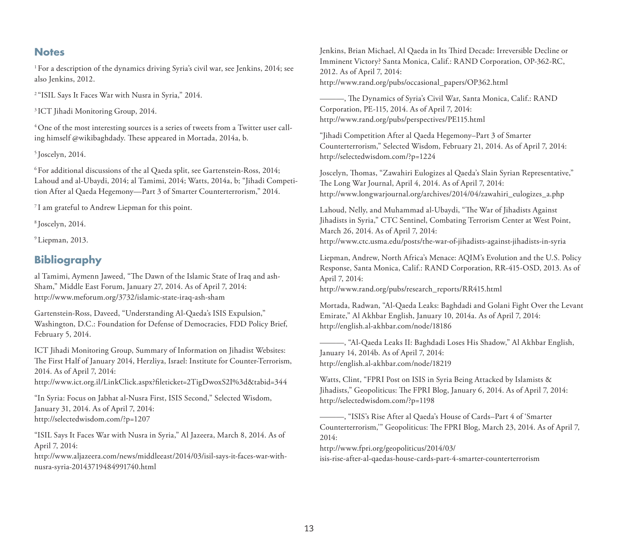#### **Notes**

1 For a description of the dynamics driving Syria's civil war, see Jenkins, 2014; see also Jenkins, 2012.

2 "ISIL Says It Faces War with Nusra in Syria," 2014.

3 ICT Jihadi Monitoring Group, 2014.

4 One of the most interesting sources is a series of tweets from a Twitter user calling himself @wikibaghdady. These appeared in Mortada, 2014a, b.

5 Joscelyn, 2014.

6 For additional discussions of the al Qaeda split, see Gartenstein-Ross, 2014; Lahoud and al-Ubaydi, 2014; al Tamimi, 2014; Watts, 2014a, b; "Jihadi Competition After al Qaeda Hegemony—Part 3 of Smarter Counterterrorism," 2014.

7 I am grateful to Andrew Liepman for this point.

8 Joscelyn, 2014.

9 Liepman, 2013.

#### **Bibliography**

al Tamimi, Aymenn Jaweed, "The Dawn of the Islamic State of Iraq and ash-Sham," Middle East Forum, January 27, 2014. As of April 7, 2014: <http://www.meforum.org/3732/islamic-state-iraq-ash-sham>

Gartenstein-Ross, Daveed, "Understanding Al-Qaeda's ISIS Expulsion," Washington, D.C.: Foundation for Defense of Democracies, FDD Policy Brief, February 5, 2014.

ICT Jihadi Monitoring Group, Summary of Information on Jihadist Websites: The First Half of January 2014, Herzliya, Israel: Institute for Counter-Terrorism, 2014. As of April 7, 2014: <http://www.ict.org.il/LinkClick.aspx?fileticket=2TigDwoxS2I%3d&tabid=344>

"In Syria: Focus on Jabhat al-Nusra First, ISIS Second," Selected Wisdom, January 31, 2014. As of April 7, 2014: <http://selectedwisdom.com/?p=1207>

"ISIL Says It Faces War with Nusra in Syria," Al Jazeera, March 8, 2014. As of April 7, 2014:

[http://www.aljazeera.com/news/middleeast/2014/03/isil-says-it-faces-war-with](http://www.aljazeera.com/news/middleeast/2014/03/isil-says-it-faces-war-with-nusra-syria-20143719484991740.html)nusra-syria-20143719484991740.html

Jenkins, Brian Michael, Al Qaeda in Its Third Decade: Irreversible Decline or Imminent Victory? Santa Monica, Calif.: RAND Corporation, OP-362-RC, 2012. As of April 7, 2014: [http://www.rand.org/pubs/occasional\\_papers/OP362.html](http://www.rand.org/pubs/occasional_papers/OP362.html)

———, The Dynamics of Syria's Civil War, Santa Monica, Calif.: RAND Corporation, PE-115, 2014. As of April 7, 2014: <http://www.rand.org/pubs/perspectives/PE115.html>

"Jihadi Competition After al Qaeda Hegemony–Part 3 of Smarter Counterterrorism," Selected Wisdom, February 21, 2014. As of April 7, 2014: <http://selectedwisdom.com/?p=1224>

Joscelyn, Thomas, "Zawahiri Eulogizes al Qaeda's Slain Syrian Representative," The Long War Journal, April 4, 2014. As of April 7, 2014: [http://www.longwarjournal.org/archives/2014/04/zawahiri\\_eulogizes\\_a.php](http://www.longwarjournal.org/archives/2014/04/zawahiri_eulogizes_a.php)

Lahoud, Nelly, and Muhammad al-Ubaydi, "The War of Jihadists Against Jihadists in Syria," CTC Sentinel, Combating Terrorism Center at West Point, March 26, 2014. As of April 7, 2014: <http://www.ctc.usma.edu/posts/the-war-of-jihadists-against-jihadists-in-syria>

Liepman, Andrew, North Africa's Menace: AQIM's Evolution and the U.S. Policy Response, Santa Monica, Calif.: RAND Corporation, RR-415-OSD, 2013. As of April 7, 2014: [http://www.rand.org/pubs/research\\_reports/RR415.html](http://www.rand.org/pubs/research_reports/RR415.html)

Mortada, Radwan, "Al-Qaeda Leaks: Baghdadi and Golani Fight Over the Levant Emirate," Al Akhbar English, January 10, 2014a. As of April 7, 2014: <http://english.al-akhbar.com/node/18186>

———, "Al-Qaeda Leaks II: Baghdadi Loses His Shadow," Al Akhbar English, January 14, 2014b. As of April 7, 2014: <http://english.al-akhbar.com/node/18219>

Watts, Clint, "FPRI Post on ISIS in Syria Being Attacked by Islamists & Jihadists," Geopoliticus: The FPRI Blog, January 6, 2014. As of April 7, 2014: <http://selectedwisdom.com/?p=1198>

———, "ISIS's Rise After al Qaeda's House of Cards–Part 4 of 'Smarter Counterterrorism,'" Geopoliticus: The FPRI Blog, March 23, 2014. As of April 7, 2014:

http://www.fpri.org/geopoliticus/2014/03/ [isis-rise-after-al-qaedas-house-cards-part-4-smarter-counterterrorism](http://www.fpri.org/geopoliticus/2014/03/)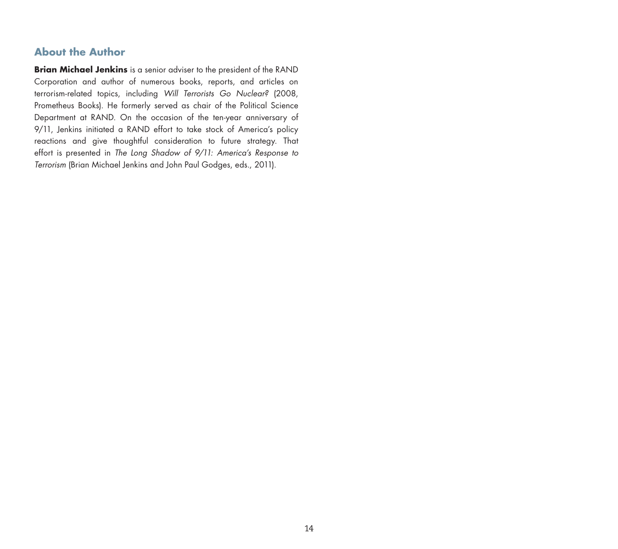## **About the Author**

**Brian Michael Jenkins** is a senior adviser to the president of the RAND Corporation and author of numerous books, reports, and articles on terrorism-related topics, including *Will Terrorists Go Nuclear?* (2008, Prometheus Books). He formerly served as chair of the Political Science Department at RAND. On the occasion of the ten-year anniversary of 9/11, Jenkins initiated a RAND effort to take stock of America's policy reactions and give thoughtful consideration to future strategy. That effort is presented in *The Long Shadow of 9/11: America's Response to Terrorism* (Brian Michael Jenkins and John Paul Godges, eds., 2011).